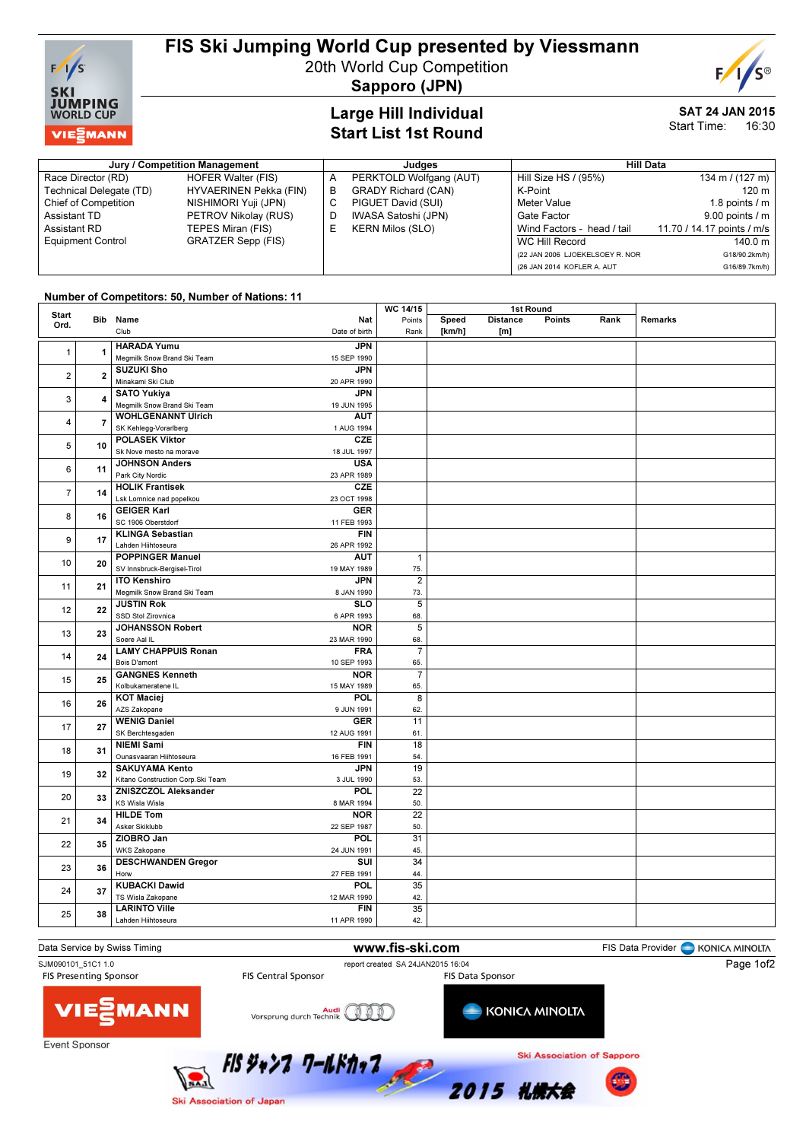

# FIS Ski Jumping World Cup presented by Viessmann

20th World Cup Competition



Sapporo (JPN)

## Large Hill Individual Start List 1st Round

#### SAT 24 JAN 2015 Start Time: 16:30

(26 JAN 2014 KOFLER A. AUT G16/89.7km/h)

#### Jury / Competition Management de Late and Sudges and Hill Data Race Director (RD) HOFER Walter (FIS) Technical Delegate (TD) HYVAERINEN Pekka (FIN)<br>Chief of Competition NISHIMORI Yuji (JPN) NISHIMORI Yuji (JPN) Assistant TD PETROV Nikolay (RUS)<br>
Assistant RD TEPES Miran (FIS) TEPES Miran (FIS) Equipment Control GRATZER Sepp (FIS) A PERKTOLD Wolfgang (AUT)<br>B GRADY Richard (CAN) GRADY Richard (CAN) C PIGUET David (SUI) D IWASA Satoshi (JPN)<br>E KERN Milos (SLO) KERN Milos (SLO) Hill Size HS / (95%) 134 m / (127 m)  $K-Point$  120 m Meter Value 1.8 points / m Gate Factor 9.00 points / m<br>Wind Factors - head / tail 11.70 / 14.17 points / m/s Wind Factors - head / tail WC Hill Record 140.0 m (22 JAN 2006 LJOEKELSOEY R. NOR G18/90.2km/h)

### Number of Competitors: 50, Number of Nations: 11

|                         |                |                                                 | WC 14/15        | 1st Round |                 |        |      |                |
|-------------------------|----------------|-------------------------------------------------|-----------------|-----------|-----------------|--------|------|----------------|
| <b>Start</b><br>Ord.    | Bib            | Name<br>Nat                                     | Points          | Speed     | <b>Distance</b> | Points | Rank | <b>Remarks</b> |
|                         |                | Club<br>Date of birth                           | Rank            | [km/h]    | [m]             |        |      |                |
|                         |                | <b>HARADA Yumu</b>                              |                 |           |                 |        |      |                |
| 1                       | $\mathbf{1}$   | <b>JPN</b>                                      |                 |           |                 |        |      |                |
|                         |                | Megmilk Snow Brand Ski Team<br>15 SEP 1990      |                 |           |                 |        |      |                |
| $\overline{2}$          | $\overline{2}$ | <b>SUZUKI Sho</b><br><b>JPN</b>                 |                 |           |                 |        |      |                |
|                         |                | Minakami Ski Club<br>20 APR 1990                |                 |           |                 |        |      |                |
| 3                       |                | <b>SATO Yukiya</b><br><b>JPN</b>                |                 |           |                 |        |      |                |
|                         | 4              | Megmilk Snow Brand Ski Team<br>19 JUN 1995      |                 |           |                 |        |      |                |
|                         |                | <b>WOHLGENANNT Ulrich</b><br><b>AUT</b>         |                 |           |                 |        |      |                |
| $\overline{\mathbf{4}}$ | $\overline{7}$ | SK Kehlegg-Vorarlberg<br>1 AUG 1994             |                 |           |                 |        |      |                |
|                         | 10             | <b>POLASEK Viktor</b><br><b>CZE</b>             |                 |           |                 |        |      |                |
| 5                       |                | Sk Nove mesto na morave<br>18 JUL 1997          |                 |           |                 |        |      |                |
|                         | 11             | <b>USA</b><br><b>JOHNSON Anders</b>             |                 |           |                 |        |      |                |
| 6                       |                | Park City Nordic<br>23 APR 1989                 |                 |           |                 |        |      |                |
|                         |                | <b>HOLIK Frantisek</b>                          |                 |           |                 |        |      |                |
| $\overline{7}$          | 14             | <b>CZE</b>                                      |                 |           |                 |        |      |                |
|                         |                | Lsk Lomnice nad popelkou<br>23 OCT 1998         |                 |           |                 |        |      |                |
| 8                       | 16             | <b>GEIGER Karl</b><br><b>GER</b>                |                 |           |                 |        |      |                |
|                         |                | SC 1906 Oberstdorf<br>11 FEB 1993               |                 |           |                 |        |      |                |
| 9                       | 17             | <b>KLINGA Sebastian</b><br><b>FIN</b>           |                 |           |                 |        |      |                |
|                         |                | Lahden Hiihtoseura<br>26 APR 1992               |                 |           |                 |        |      |                |
| 10                      | 20             | <b>POPPINGER Manuel</b><br><b>AUT</b>           | $\mathbf{1}$    |           |                 |        |      |                |
|                         |                | SV Innsbruck-Bergisel-Tirol<br>19 MAY 1989      | 75.             |           |                 |        |      |                |
| 11                      |                | <b>ITO Kenshiro</b><br><b>JPN</b>               | $\overline{2}$  |           |                 |        |      |                |
|                         | 21             | Megmilk Snow Brand Ski Team<br>8 JAN 1990       | 73.             |           |                 |        |      |                |
| 12                      | 22             | <b>JUSTIN Rok</b><br><b>SLO</b>                 | $\overline{5}$  |           |                 |        |      |                |
|                         |                | SSD Stol Zirovnica<br>6 APR 1993                | 68.             |           |                 |        |      |                |
|                         | 23             | <b>JOHANSSON Robert</b><br><b>NOR</b>           | $\overline{5}$  |           |                 |        |      |                |
| 13                      |                | Soere Aal IL<br>23 MAR 1990                     | 68.             |           |                 |        |      |                |
|                         | 24             | <b>LAMY CHAPPUIS Ronan</b><br><b>FRA</b>        | $\overline{7}$  |           |                 |        |      |                |
| 14                      |                | Bois D'amont<br>10 SEP 1993                     | 65.             |           |                 |        |      |                |
|                         | 25             | <b>GANGNES Kenneth</b><br><b>NOR</b>            | $\overline{7}$  |           |                 |        |      |                |
| 15                      |                | Kolbukameratene IL<br>15 MAY 1989               | 65.             |           |                 |        |      |                |
|                         | 26             | POL<br><b>KOT Maciej</b>                        | 8               |           |                 |        |      |                |
| 16                      |                | AZS Zakopane<br>9 JUN 1991                      | 62.             |           |                 |        |      |                |
|                         |                | <b>WENIG Daniel</b><br><b>GER</b>               | 11              |           |                 |        |      |                |
| 17                      | 27             | SK Berchtesgaden<br>12 AUG 1991                 | 61.             |           |                 |        |      |                |
|                         |                | <b>NIEMI Sami</b><br><b>FIN</b>                 | 18              |           |                 |        |      |                |
| 18                      | 31             | Ounasvaaran Hiihtoseura<br>16 FEB 1991          | 54.             |           |                 |        |      |                |
|                         |                | <b>SAKUYAMA Kento</b><br><b>JPN</b>             | 19              |           |                 |        |      |                |
| 19                      | 32             | Kitano Construction Corp.Ski Team<br>3 JUL 1990 | 53.             |           |                 |        |      |                |
|                         |                | <b>ZNISZCZOL Aleksander</b><br>POL              | $\overline{22}$ |           |                 |        |      |                |
| 20                      | 33             | KS Wisla Wisla                                  |                 |           |                 |        |      |                |
|                         |                | 8 MAR 1994<br><b>HILDE Tom</b>                  | 50.             |           |                 |        |      |                |
| 21                      | 34             | <b>NOR</b>                                      | $\overline{22}$ |           |                 |        |      |                |
|                         |                | Asker Skiklubb<br>22 SEP 1987                   | 50.             |           |                 |        |      |                |
| 22                      | 35             | ZIOBRO Jan<br><b>POL</b>                        | $\overline{31}$ |           |                 |        |      |                |
|                         |                | <b>WKS Zakopane</b><br>24 JUN 1991              | 45.             |           |                 |        |      |                |
| 23                      | 36             | <b>DESCHWANDEN Gregor</b><br>SUI                | 34              |           |                 |        |      |                |
|                         |                | Horw<br>27 FEB 1991                             | 44.             |           |                 |        |      |                |
| 24                      | 37             | <b>KUBACKI Dawid</b><br>POL                     | 35              |           |                 |        |      |                |
|                         |                | TS Wisla Zakopane<br>12 MAR 1990                | 42.             |           |                 |        |      |                |
| 25                      | 38             | <b>LARINTO Ville</b><br><b>FIN</b>              | 35              |           |                 |        |      |                |
|                         |                | Lahden Hiihtoseura<br>11 APR 1990               | 42.             |           |                 |        |      |                |
|                         |                |                                                 |                 |           |                 |        |      |                |



Ski Association of Japan